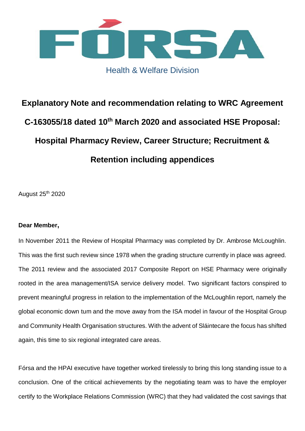

# Health & Welfare Division

# **Explanatory Note and recommendation relating to WRC Agreement C-163055/18 dated 10th March 2020 and associated HSE Proposal: Hospital Pharmacy Review, Career Structure; Recruitment & Retention including appendices**

August 25th 2020

# **Dear Member,**

In November 2011 the Review of Hospital Pharmacy was completed by Dr. Ambrose McLoughlin. This was the first such review since 1978 when the grading structure currently in place was agreed. The 2011 review and the associated 2017 Composite Report on HSE Pharmacy were originally rooted in the area management/ISA service delivery model. Two significant factors conspired to prevent meaningful progress in relation to the implementation of the McLoughlin report, namely the global economic down tum and the move away from the ISA model in favour of the Hospital Group and Community Health Organisation structures. With the advent of Sláintecare the focus has shifted again, this time to six regional integrated care areas.

Fórsa and the HPAI executive have together worked tirelessly to bring this long standing issue to a conclusion. One of the critical achievements by the negotiating team was to have the employer certify to the Workplace Relations Commission (WRC) that they had validated the cost savings that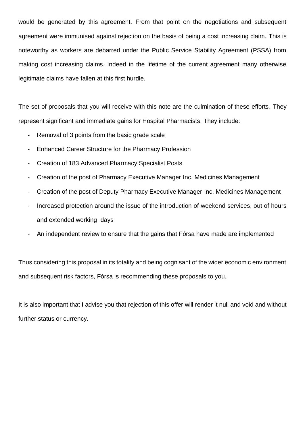would be generated by this agreement. From that point on the negotiations and subsequent agreement were immunised against rejection on the basis of being a cost increasing claim. This is noteworthy as workers are debarred under the Public Service Stability Agreement (PSSA) from making cost increasing claims. Indeed in the lifetime of the current agreement many otherwise legitimate claims have fallen at this first hurdle.

The set of proposals that you will receive with this note are the culmination of these efforts. They represent significant and immediate gains for Hospital Pharmacists. They include:

- Removal of 3 points from the basic grade scale
- Enhanced Career Structure for the Pharmacy Profession
- Creation of 183 Advanced Pharmacy Specialist Posts
- Creation of the post of Pharmacy Executive Manager Inc. Medicines Management
- Creation of the post of Deputy Pharmacy Executive Manager Inc. Medicines Management
- Increased protection around the issue of the introduction of weekend services, out of hours and extended working days
- An independent review to ensure that the gains that Fórsa have made are implemented

Thus considering this proposal in its totality and being cognisant of the wider economic environment and subsequent risk factors, Fórsa is recommending these proposals to you.

It is also important that I advise you that rejection of this offer will render it null and void and without further status or currency.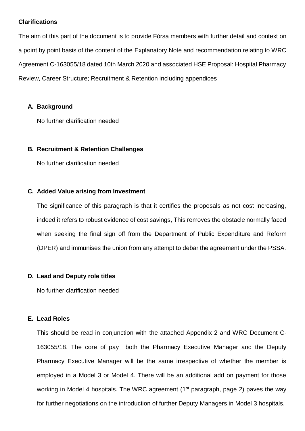#### **Clarifications**

The aim of this part of the document is to provide Fórsa members with further detail and context on a point by point basis of the content of the Explanatory Note and recommendation relating to WRC Agreement C-163055/18 dated 10th March 2020 and associated HSE Proposal: Hospital Pharmacy Review, Career Structure; Recruitment & Retention including appendices

#### **A. Background**

No further clarification needed

#### **B. Recruitment & Retention Challenges**

No further clarification needed

#### **C. Added Value arising from Investment**

The significance of this paragraph is that it certifies the proposals as not cost increasing. indeed it refers to robust evidence of cost savings, This removes the obstacle normally faced when seeking the final sign off from the Department of Public Expenditure and Reform (DPER) and immunises the union from any attempt to debar the agreement under the PSSA.

# **D. Lead and Deputy role titles**

No further clarification needed

# **E. Lead Roles**

This should be read in conjunction with the attached Appendix 2 and WRC Document C-163055/18. The core of pay both the Pharmacy Executive Manager and the Deputy Pharmacy Executive Manager will be the same irrespective of whether the member is employed in a Model 3 or Model 4. There will be an additional add on payment for those working in Model 4 hospitals. The WRC agreement (1<sup>st</sup> paragraph, page 2) paves the way for further negotiations on the introduction of further Deputy Managers in Model 3 hospitals.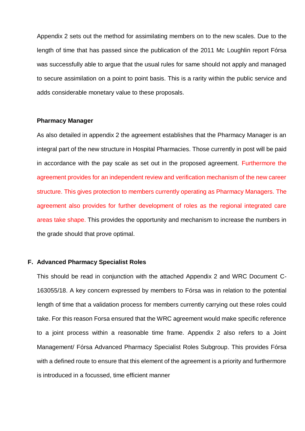Appendix 2 sets out the method for assimilating members on to the new scales. Due to the length of time that has passed since the publication of the 2011 Mc Loughlin report Fórsa was successfully able to argue that the usual rules for same should not apply and managed to secure assimilation on a point to point basis. This is a rarity within the public service and adds considerable monetary value to these proposals.

#### **Pharmacy Manager**

As also detailed in appendix 2 the agreement establishes that the Pharmacy Manager is an integral part of the new structure in Hospital Pharmacies. Those currently in post will be paid in accordance with the pay scale as set out in the proposed agreement. Furthermore the agreement provides for an independent review and verification mechanism of the new career structure. This gives protection to members currently operating as Pharmacy Managers. The agreement also provides for further development of roles as the regional integrated care areas take shape. This provides the opportunity and mechanism to increase the numbers in the grade should that prove optimal.

#### **F. Advanced Pharmacy Specialist Roles**

This should be read in conjunction with the attached Appendix 2 and WRC Document C-163055/18. A key concern expressed by members to Fórsa was in relation to the potential length of time that a validation process for members currently carrying out these roles could take. For this reason Forsa ensured that the WRC agreement would make specific reference to a joint process within a reasonable time frame. Appendix 2 also refers to a Joint Management/ Fórsa Advanced Pharmacy Specialist Roles Subgroup. This provides Fórsa with a defined route to ensure that this element of the agreement is a priority and furthermore is introduced in a focussed, time efficient manner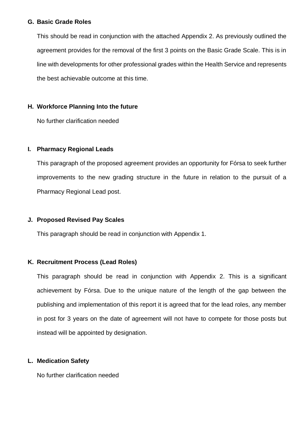#### **G. Basic Grade Roles**

This should be read in conjunction with the attached Appendix 2. As previously outlined the agreement provides for the removal of the first 3 points on the Basic Grade Scale. This is in line with developments for other professional grades within the Health Service and represents the best achievable outcome at this time.

# **H. Workforce Planning Into the future**

No further clarification needed

# **I. Pharmacy Regional Leads**

This paragraph of the proposed agreement provides an opportunity for Fórsa to seek further improvements to the new grading structure in the future in relation to the pursuit of a Pharmacy Regional Lead post.

# **J. Proposed Revised Pay Scales**

This paragraph should be read in conjunction with Appendix 1.

# **K. Recruitment Process (Lead Roles)**

This paragraph should be read in conjunction with Appendix 2. This is a significant achievement by Fórsa. Due to the unique nature of the length of the gap between the publishing and implementation of this report it is agreed that for the lead roles, any member in post for 3 years on the date of agreement will not have to compete for those posts but instead will be appointed by designation.

# **L. Medication Safety**

No further clarification needed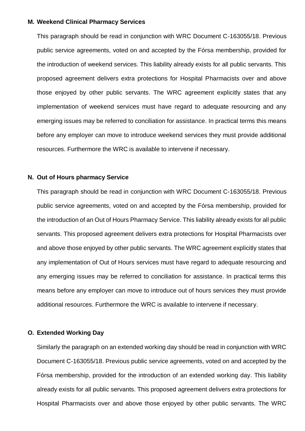#### **M. Weekend Clinical Pharmacy Services**

This paragraph should be read in conjunction with WRC Document C-163055/18. Previous public service agreements, voted on and accepted by the Fórsa membership, provided for the introduction of weekend services. This liability already exists for all public servants. This proposed agreement delivers extra protections for Hospital Pharmacists over and above those enjoyed by other public servants. The WRC agreement explicitly states that any implementation of weekend services must have regard to adequate resourcing and any emerging issues may be referred to conciliation for assistance. In practical terms this means before any employer can move to introduce weekend services they must provide additional resources. Furthermore the WRC is available to intervene if necessary.

#### **N. Out of Hours pharmacy Service**

This paragraph should be read in conjunction with WRC Document C-163055/18. Previous public service agreements, voted on and accepted by the Fórsa membership, provided for the introduction of an Out of Hours Pharmacy Service. This liability already exists for all public servants. This proposed agreement delivers extra protections for Hospital Pharmacists over and above those enjoyed by other public servants. The WRC agreement explicitly states that any implementation of Out of Hours services must have regard to adequate resourcing and any emerging issues may be referred to conciliation for assistance. In practical terms this means before any employer can move to introduce out of hours services they must provide additional resources. Furthermore the WRC is available to intervene if necessary.

#### **O. Extended Working Day**

Similarly the paragraph on an extended working day should be read in conjunction with WRC Document C-163055/18. Previous public service agreements, voted on and accepted by the Fórsa membership, provided for the introduction of an extended working day. This liability already exists for all public servants. This proposed agreement delivers extra protections for Hospital Pharmacists over and above those enjoyed by other public servants. The WRC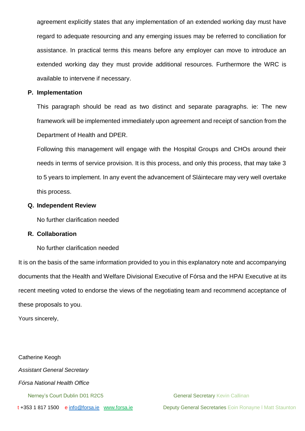agreement explicitly states that any implementation of an extended working day must have regard to adequate resourcing and any emerging issues may be referred to conciliation for assistance. In practical terms this means before any employer can move to introduce an extended working day they must provide additional resources. Furthermore the WRC is available to intervene if necessary.

#### **P. Implementation**

This paragraph should be read as two distinct and separate paragraphs. ie: The new framework will be implemented immediately upon agreement and receipt of sanction from the Department of Health and DPER.

Following this management will engage with the Hospital Groups and CHOs around their needs in terms of service provision. It is this process, and only this process, that may take 3 to 5 years to implement. In any event the advancement of Sláintecare may very well overtake this process.

#### **Q. Independent Review**

No further clarification needed

#### **R. Collaboration**

No further clarification needed

It is on the basis of the same information provided to you in this explanatory note and accompanying documents that the Health and Welfare Divisional Executive of Fórsa and the HPAI Executive at its recent meeting voted to endorse the views of the negotiating team and recommend acceptance of these proposals to you.

Yours sincerely,

Catherine Keogh *Assistant General Secretary Fórsa National Health Office* Nerney's Court Dublin D01 R2C5 General Secretary Kevin Callinan

t +353 1 817 1500 e [info@forsa.ie](mailto:info@forsa.ie) [www.forsa.ie](http://www.forsa.ie/) Deputy General Secretaries Eoin Ronayne I Matt Staunton